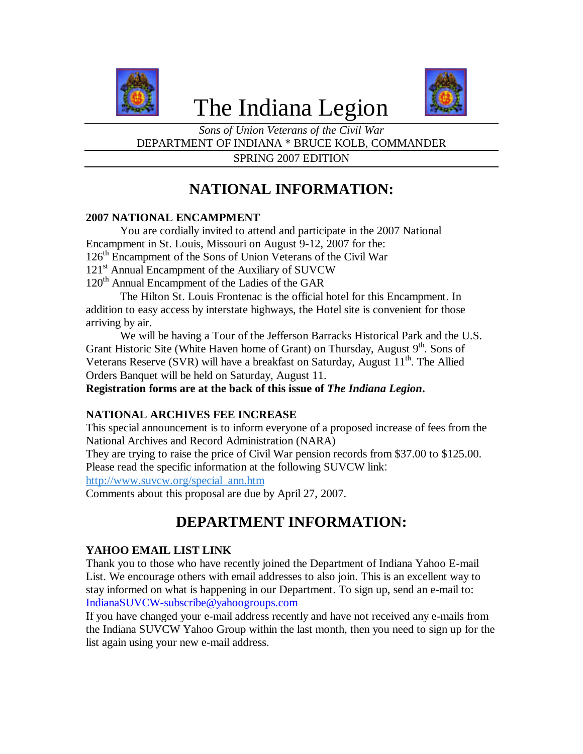

# The Indiana Legion



*Sons of Union Veterans of the Civil War* DEPARTMENT OF INDIANA \* BRUCE KOLB, COMMANDER SPRING 2007 EDITION

## **NATIONAL INFORMATION:**

#### **2007 NATIONAL ENCAMPMENT**

You are cordially invited to attend and participate in the 2007 National Encampment in St. Louis, Missouri on August 9-12, 2007 for the: 126<sup>th</sup> Encampment of the Sons of Union Veterans of the Civil War 121<sup>st</sup> Annual Encampment of the Auxiliary of SUVCW 120<sup>th</sup> Annual Encampment of the Ladies of the GAR

The Hilton St. Louis Frontenac is the official hotel for this Encampment. In addition to easy access by interstate highways, the Hotel site is convenient for those arriving by air.

We will be having a Tour of the Jefferson Barracks Historical Park and the U.S. Grant Historic Site (White Haven home of Grant) on Thursday, August  $9<sup>th</sup>$ . Sons of Veterans Reserve (SVR) will have a breakfast on Saturday, August  $11<sup>th</sup>$ . The Allied Orders Banquet will be held on Saturday, August 11.

**Registration forms are at the back of this issue of** *The Indiana Legion***.**

#### **NATIONAL ARCHIVES FEE INCREASE**

This special announcement is to inform everyone of a proposed increase of fees from the National Archives and Record Administration (NARA)

They are trying to raise the price of Civil War pension records from \$37.00 to \$125.00. Please read the specific information at the following SUVCW link: http://www.suvcw.org/special\_ann.htm

Comments about this proposal are due by April 27, 2007.

## **DEPARTMENT INFORMATION:**

#### **YAHOO EMAIL LIST LINK**

Thank you to those who have recently joined the Department of Indiana Yahoo E-mail List. We encourage others with email addresses to also join. This is an excellent way to stay informed on what is happening in our Department. To sign up, send an e-mail to: IndianaSUVCW-subscribe@yahoogroups.com

If you have changed your e-mail address recently and have not received any e-mails from the Indiana SUVCW Yahoo Group within the last month, then you need to sign up for the list again using your new e-mail address.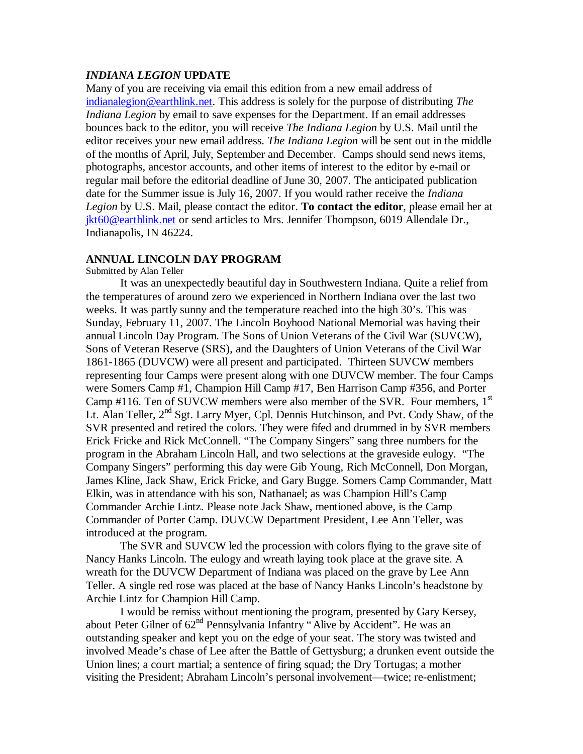#### *INDIANA LEGION* **UPDATE**

Many of you are receiving via email this edition from a new email address of indianalegion@earthlink.net. This address is solely for the purpose of distributing *The Indiana Legion* by email to save expenses for the Department. If an email addresses bounces back to the editor, you will receive *The Indiana Legion* by U.S. Mail until the editor receives your new email address. *The Indiana Legion* will be sent out in the middle of the months of April, July, September and December. Camps should send news items, photographs, ancestor accounts, and other items of interest to the editor by e-mail or regular mail before the editorial deadline of June 30, 2007. The anticipated publication date for the Summer issue is July 16, 2007. If you would rather receive the *Indiana Legion* by U.S. Mail, please contact the editor. **To contact the editor**, please email her at jkt60@earthlink.net or send articles to Mrs. Jennifer Thompson, 6019 Allendale Dr., Indianapolis, IN 46224.

#### **ANNUAL LINCOLN DAY PROGRAM**

Submitted by Alan Teller

It was an unexpectedly beautiful day in Southwestern Indiana. Quite a relief from the temperatures of around zero we experienced in Northern Indiana over the last two weeks. It was partly sunny and the temperature reached into the high 30's. This was Sunday, February 11, 2007. The Lincoln Boyhood National Memorial was having their annual Lincoln Day Program. The Sons of Union Veterans of the Civil War (SUVCW), Sons of Veteran Reserve (SRS), and the Daughters of Union Veterans of the Civil War 1861-1865 (DUVCW) were all present and participated. Thirteen SUVCW members representing four Camps were present along with one DUVCW member. The four Camps were Somers Camp #1, Champion Hill Camp #17, Ben Harrison Camp #356, and Porter Camp #116. Ten of SUVCW members were also member of the SVR. Four members,  $1<sup>st</sup>$ Lt. Alan Teller, 2<sup>nd</sup> Sgt. Larry Myer, Cpl. Dennis Hutchinson, and Pvt. Cody Shaw, of the SVR presented and retired the colors. They were fifed and drummed in by SVR members Erick Fricke and Rick McConnell. "The Company Singers" sang three numbers for the program in the Abraham Lincoln Hall, and two selections at the graveside eulogy. "The Company Singers" performing this day were Gib Young, Rich McConnell, Don Morgan, James Kline, Jack Shaw, Erick Fricke, and Gary Bugge. Somers Camp Commander, Matt Elkin, was in attendance with his son, Nathanael; as was Champion Hill's Camp Commander Archie Lintz. Please note Jack Shaw, mentioned above, is the Camp Commander of Porter Camp. DUVCW Department President, Lee Ann Teller, was introduced at the program.

The SVR and SUVCW led the procession with colors flying to the grave site of Nancy Hanks Lincoln. The eulogy and wreath laying took place at the grave site. A wreath for the DUVCW Department of Indiana was placed on the grave by Lee Ann Teller. A single red rose was placed at the base of Nancy Hanks Lincoln's headstone by Archie Lintz for Champion Hill Camp.

I would be remiss without mentioning the program, presented by Gary Kersey, about Peter Gilner of  $62<sup>nd</sup>$  Pennsylvania Infantry "Alive by Accident". He was an outstanding speaker and kept you on the edge of your seat. The story was twisted and involved Meade's chase of Lee after the Battle of Gettysburg; a drunken event outside the Union lines; a court martial; a sentence of firing squad; the Dry Tortugas; a mother visiting the President; Abraham Lincoln's personal involvement— twice; re-enlistment;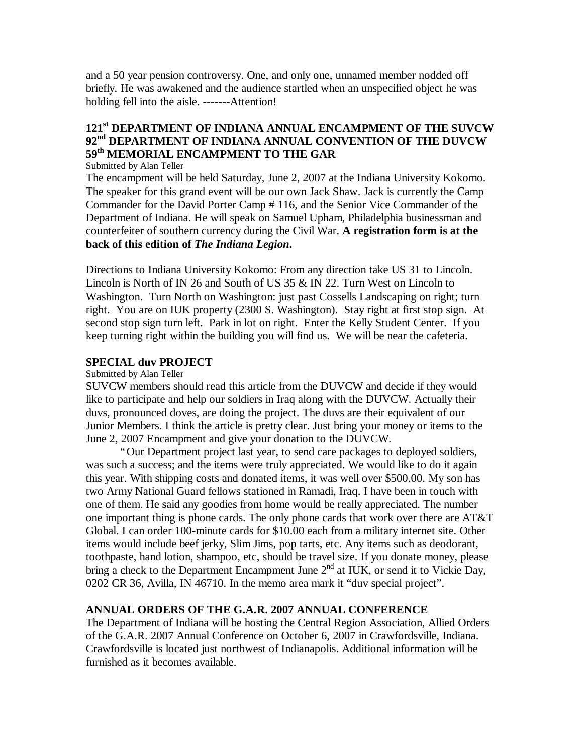and a 50 year pension controversy. One, and only one, unnamed member nodded off briefly. He was awakened and the audience startled when an unspecified object he was holding fell into the aisle. -------Attention!

### **121st DEPARTMENT OF INDIANA ANNUAL ENCAMPMENT OF THE SUVCW 92nd DEPARTMENT OF INDIANA ANNUAL CONVENTION OF THE DUVCW 59th MEMORIAL ENCAMPMENT TO THE GAR**

Submitted by Alan Teller

The encampment will be held Saturday, June 2, 2007 at the Indiana University Kokomo. The speaker for this grand event will be our own Jack Shaw. Jack is currently the Camp Commander for the David Porter Camp # 116, and the Senior Vice Commander of the Department of Indiana. He will speak on Samuel Upham, Philadelphia businessman and counterfeiter of southern currency during the Civil War. **A registration form is at the back of this edition of** *The Indiana Legion***.**

Directions to Indiana University Kokomo: From any direction take US 31 to Lincoln. Lincoln is North of IN 26 and South of US 35 & IN 22. Turn West on Lincoln to Washington. Turn North on Washington: just past Cossells Landscaping on right; turn right. You are on IUK property (2300 S. Washington). Stay right at first stop sign. At second stop sign turn left. Park in lot on right. Enter the Kelly Student Center. If you keep turning right within the building you will find us. We will be near the cafeteria.

#### **SPECIAL duv PROJECT**

#### Submitted by Alan Teller

SUVCW members should read this article from the DUVCW and decide if they would like to participate and help our soldiers in Iraq along with the DUVCW. Actually their duvs, pronounced doves, are doing the project. The duvs are their equivalent of our Junior Members. I think the article is pretty clear. Just bring your money or items to the June 2, 2007 Encampment and give your donation to the DUVCW.

"Our Department project last year, to send care packages to deployed soldiers, was such a success; and the items were truly appreciated. We would like to do it again this year. With shipping costs and donated items, it was well over \$500.00. My son has two Army National Guard fellows stationed in Ramadi, Iraq. I have been in touch with one of them. He said any goodies from home would be really appreciated. The number one important thing is phone cards. The only phone cards that work over there are AT&T Global. I can order 100-minute cards for \$10.00 each from a military internet site. Other items would include beef jerky, Slim Jims, pop tarts, etc. Any items such as deodorant, toothpaste, hand lotion, shampoo, etc, should be travel size. If you donate money, please bring a check to the Department Encampment June  $2<sup>nd</sup>$  at IUK, or send it to Vickie Day, 0202 CR 36, Avilla, IN 46710. In the memo area mark it "duv special project".

#### **ANNUAL ORDERS OF THE G.A.R. 2007 ANNUAL CONFERENCE**

The Department of Indiana will be hosting the Central Region Association, Allied Orders of the G.A.R. 2007 Annual Conference on October 6, 2007 in Crawfordsville, Indiana. Crawfordsville is located just northwest of Indianapolis. Additional information will be furnished as it becomes available.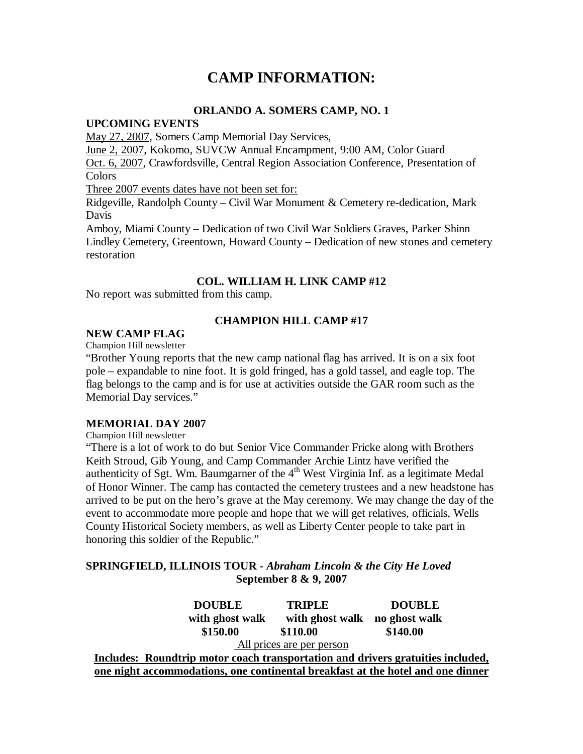## **CAMP INFORMATION:**

#### **ORLANDO A. SOMERS CAMP, NO. 1**

#### **UPCOMING EVENTS**

May 27, 2007, Somers Camp Memorial Day Services,

June 2, 2007, Kokomo, SUVCW Annual Encampment, 9:00 AM, Color Guard Oct. 6, 2007, Crawfordsville, Central Region Association Conference, Presentation of Colors

Three 2007 events dates have not been set for:

Ridgeville, Randolph County – Civil War Monument & Cemetery re-dedication, Mark Davis

Amboy, Miami County – Dedication of two Civil War Soldiers Graves, Parker Shinn Lindley Cemetery, Greentown, Howard County – Dedication of new stones and cemetery restoration

#### **COL. WILLIAM H. LINK CAMP #12**

No report was submitted from this camp.

#### **CHAMPION HILL CAMP #17**

#### **NEW CAMP FLAG**

Champion Hill newsletter

"Brother Young reports that the new camp national flag has arrived. It is on a six foot pole – expandable to nine foot. It is gold fringed, has a gold tassel, and eagle top. The flag belongs to the camp and is for use at activities outside the GAR room such as the Memorial Day services."

#### **MEMORIAL DAY 2007**

Champion Hill newsletter

"There is a lot of work to do but Senior Vice Commander Fricke along with Brothers Keith Stroud, Gib Young, and Camp Commander Archie Lintz have verified the authenticity of Sgt. Wm. Baumgarner of the  $4<sup>th</sup>$  West Virginia Inf. as a legitimate Medal of Honor Winner. The camp has contacted the cemetery trustees and a new headstone has arrived to be put on the hero's grave at the May ceremony. We may change the day of the event to accommodate more people and hope that we will get relatives, officials, Wells County Historical Society members, as well as Liberty Center people to take part in honoring this soldier of the Republic."

#### **SPRINGFIELD, ILLINOIS TOUR -** *Abraham Lincoln & the City He Loved* **September 8 & 9, 2007**

 **DOUBLE TRIPLE DOUBLE with ghost walk with ghost walk no ghost walk \$150.00 \$110.00 \$140.00** All prices are per person **Includes: Roundtrip motor coach transportation and drivers gratuities included, one night accommodations, one continental breakfast at the hotel and one dinner**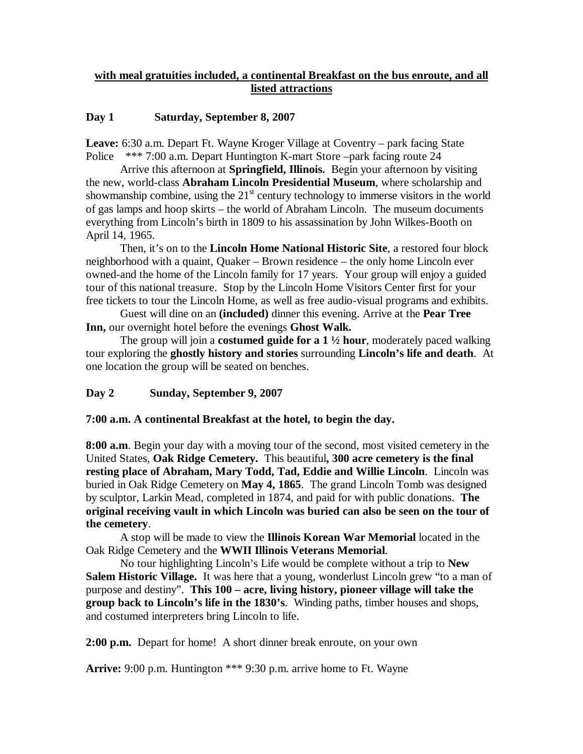#### **with meal gratuities included, a continental Breakfast on the bus enroute, and all listed attractions**

#### **Day 1 Saturday, September 8, 2007**

**Leave:** 6:30 a.m. Depart Ft. Wayne Kroger Village at Coventry – park facing State Police \*\*\* 7:00 a.m. Depart Huntington K-mart Store –park facing route 24

Arrive this afternoon at **Springfield, Illinois.** Begin your afternoon by visiting the new, world-class **Abraham Lincoln Presidential Museum**, where scholarship and showmanship combine, using the  $21<sup>st</sup>$  century technology to immerse visitors in the world of gas lamps and hoop skirts – the world of Abraham Lincoln. The museum documents everything from Lincoln's birth in 1809 to his assassination by John Wilkes-Booth on April 14, 1965.

Then, it's on to the **Lincoln Home National Historic Site**, a restored four block neighborhood with a quaint, Quaker – Brown residence – the only home Lincoln ever owned-and the home of the Lincoln family for 17 years. Your group will enjoy a guided tour of this national treasure. Stop by the Lincoln Home Visitors Center first for your free tickets to tour the Lincoln Home, as well as free audio-visual programs and exhibits.

Guest will dine on an **(included)** dinner this evening. Arrive at the **Pear Tree Inn,** our overnight hotel before the evenings **Ghost Walk.**

The group will join a **costumed guide for a 1 ½ hour**, moderately paced walking tour exploring the **ghostly history and stories** surrounding **Lincoln's life and death**. At one location the group will be seated on benches.

#### **Day 2 Sunday, September 9, 2007**

#### **7:00 a.m. A continental Breakfast at the hotel, to begin the day.**

**8:00 a.m**. Begin your day with a moving tour of the second, most visited cemetery in the United States, **Oak Ridge Cemetery.** This beautiful**, 300 acre cemetery is the final resting place of Abraham, Mary Todd, Tad, Eddie and Willie Lincoln**. Lincoln was buried in Oak Ridge Cemetery on **May 4, 1865**. The grand Lincoln Tomb was designed by sculptor, Larkin Mead, completed in 1874, and paid for with public donations. **The original receiving vault in which Lincoln was buried can also be seen on the tour of the cemetery**.

A stop will be made to view the **Illinois Korean War Memorial** located in the Oak Ridge Cemetery and the **WWII Illinois Veterans Memorial**.

No tour highlighting Lincoln's Life would be complete without a trip to **New Salem Historic Village.** It was here that a young, wonderlust Lincoln grew "to a man of purpose and destiny". **This 100 – acre, living history, pioneer village will take the group back to Lincoln's life in the 1830's**. Winding paths, timber houses and shops, and costumed interpreters bring Lincoln to life.

**2:00 p.m.** Depart for home! A short dinner break enroute, on your own

**Arrive:** 9:00 p.m. Huntington \*\*\* 9:30 p.m. arrive home to Ft. Wayne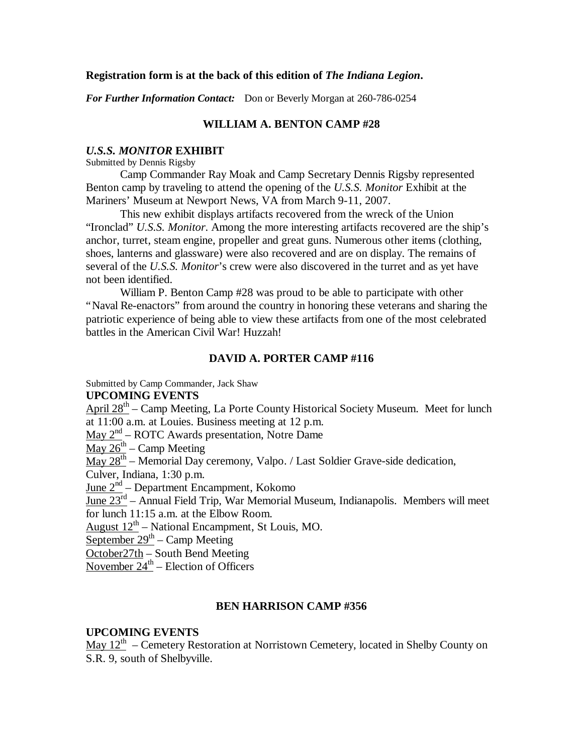#### **Registration form is at the back of this edition of** *The Indiana Legion***.**

*For Further Information Contact:* Don or Beverly Morgan at 260-786-0254

#### **WILLIAM A. BENTON CAMP #28**

#### *U.S.S. MONITOR* **EXHIBIT**

Submitted by Dennis Rigsby

Camp Commander Ray Moak and Camp Secretary Dennis Rigsby represented Benton camp by traveling to attend the opening of the *U.S.S. Monitor* Exhibit at the Mariners' Museum at Newport News, VA from March 9-11, 2007.

This new exhibit displays artifacts recovered from the wreck of the Union "Ironclad" *U.S.S. Monitor*. Among the more interesting artifacts recovered are the ship's anchor, turret, steam engine, propeller and great guns. Numerous other items (clothing, shoes, lanterns and glassware) were also recovered and are on display. The remains of several of the *U.S.S. Monitor*'s crew were also discovered in the turret and as yet have not been identified.

William P. Benton Camp #28 was proud to be able to participate with other "Naval Re-enactors" from around the country in honoring these veterans and sharing the patriotic experience of being able to view these artifacts from one of the most celebrated battles in the American Civil War! Huzzah!

#### **DAVID A. PORTER CAMP #116**

Submitted by Camp Commander, Jack Shaw

#### **UPCOMING EVENTS**

April 28<sup>th</sup> – Camp Meeting, La Porte County Historical Society Museum. Meet for lunch at 11:00 a.m. at Louies. Business meeting at 12 p.m.

May  $2<sup>nd</sup>$  – ROTC Awards presentation, Notre Dame

 $\frac{\text{May }26^{\text{th}} - \text{Camp Meeting}}{$ 

 $\frac{\text{May } 28^{\text{th}}}{}$  – Memorial Day ceremony, Valpo. / Last Soldier Grave-side dedication,

Culver, Indiana, 1:30 p.m.

June 2<sup>nd</sup> – Department Encampment, Kokomo

June  $23^{rd}$  – Annual Field Trip, War Memorial Museum, Indianapolis. Members will meet for lunch 11:15 a.m. at the Elbow Room.

August  $12^{th}$  – National Encampment, St Louis, MO.

September  $29<sup>th</sup>$  – Camp Meeting

October27th – South Bend Meeting

November  $24^{\text{th}}$  – Election of Officers

#### **BEN HARRISON CAMP #356**

#### **UPCOMING EVENTS**

 $\frac{\text{May } 12^{\text{th}}}{\text{Cemetery}}$  Restoration at Norristown Cemetery, located in Shelby County on S.R. 9, south of Shelbyville.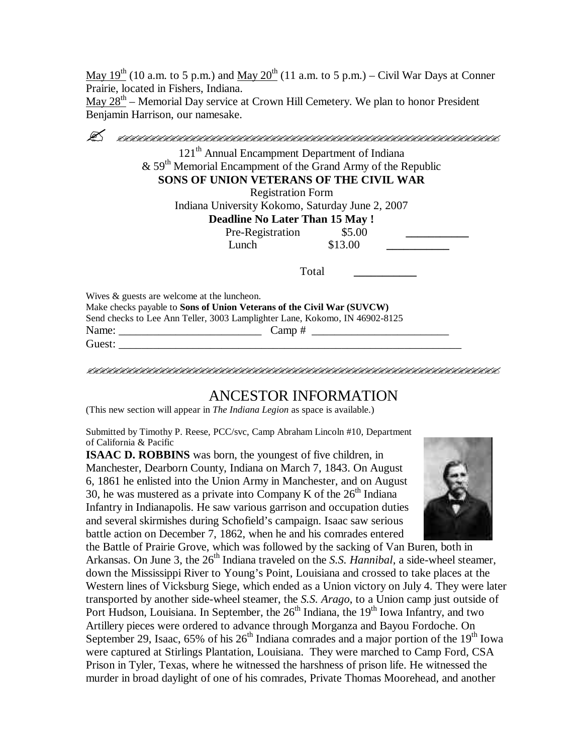May  $19^{th}$  (10 a.m. to 5 p.m.) and May  $20^{th}$  (11 a.m. to 5 p.m.) – Civil War Days at Conner Prairie, located in Fishers, Indiana.

 $\frac{\text{May } 28^{\text{th}}}{\text{M}}$  – Memorial Day service at Crown Hill Cemetery. We plan to honor President Benjamin Harrison, our namesake.

| 121 <sup>th</sup> Annual Encampment Department of Indiana<br>$\&$ 59 <sup>th</sup> Memorial Encampment of the Grand Army of the Republic<br>SONS OF UNION VETERANS OF THE CIVIL WAR<br><b>Registration Form</b><br>Indiana University Kokomo, Saturday June 2, 2007<br><b>Deadline No Later Than 15 May!</b><br>Pre-Registration \$5.00<br>\$13.00<br>Lunch |
|-------------------------------------------------------------------------------------------------------------------------------------------------------------------------------------------------------------------------------------------------------------------------------------------------------------------------------------------------------------|
|                                                                                                                                                                                                                                                                                                                                                             |
|                                                                                                                                                                                                                                                                                                                                                             |
|                                                                                                                                                                                                                                                                                                                                                             |
|                                                                                                                                                                                                                                                                                                                                                             |
|                                                                                                                                                                                                                                                                                                                                                             |
|                                                                                                                                                                                                                                                                                                                                                             |
|                                                                                                                                                                                                                                                                                                                                                             |
|                                                                                                                                                                                                                                                                                                                                                             |
| Total                                                                                                                                                                                                                                                                                                                                                       |
| Wives & guests are welcome at the luncheon.                                                                                                                                                                                                                                                                                                                 |
| Make checks payable to Sons of Union Veterans of the Civil War (SUVCW)                                                                                                                                                                                                                                                                                      |
| Send checks to Lee Ann Teller, 3003 Lamplighter Lane, Kokomo, IN 46902-8125                                                                                                                                                                                                                                                                                 |
| Name: Name                                                                                                                                                                                                                                                                                                                                                  |
| Guest: Executive Services of the Services of the Services of the Services of the Services of the Services of the Services of the Services of the Services of the Services of the Services of the Services of the Services of t                                                                                                                              |

### ANCESTOR INFORMATION

(This new section will appear in *The Indiana Legion* as space is available.)

Submitted by Timothy P. Reese, PCC/svc, Camp Abraham Lincoln #10, Department of California & Pacific

**ISAAC D. ROBBINS** was born, the youngest of five children, in Manchester, Dearborn County, Indiana on March 7, 1843. On August 6, 1861 he enlisted into the Union Army in Manchester, and on August 30, he was mustered as a private into Company K of the  $26<sup>th</sup>$  Indiana Infantry in Indianapolis. He saw various garrison and occupation duties and several skirmishes during Schofield's campaign. Isaac saw serious battle action on December 7, 1862, when he and his comrades entered



the Battle of Prairie Grove, which was followed by the sacking of Van Buren, both in Arkansas. On June 3, the 26<sup>th</sup> Indiana traveled on the *S.S. Hannibal*, a side-wheel steamer, down the Mississippi River to Young's Point, Louisiana and crossed to take places at the Western lines of Vicksburg Siege, which ended as a Union victory on July 4. They were later transported by another side-wheel steamer, the *S.S. Arago*, to a Union camp just outside of Port Hudson, Louisiana. In September, the  $26<sup>th</sup>$  Indiana, the 19<sup>th</sup> Iowa Infantry, and two Artillery pieces were ordered to advance through Morganza and Bayou Fordoche. On September 29, Isaac,  $65\%$  of his  $26<sup>th</sup>$  Indiana comrades and a major portion of the  $19<sup>th</sup>$  Iowa were captured at Stirlings Plantation, Louisiana. They were marched to Camp Ford, CSA Prison in Tyler, Texas, where he witnessed the harshness of prison life. He witnessed the murder in broad daylight of one of his comrades, Private Thomas Moorehead, and another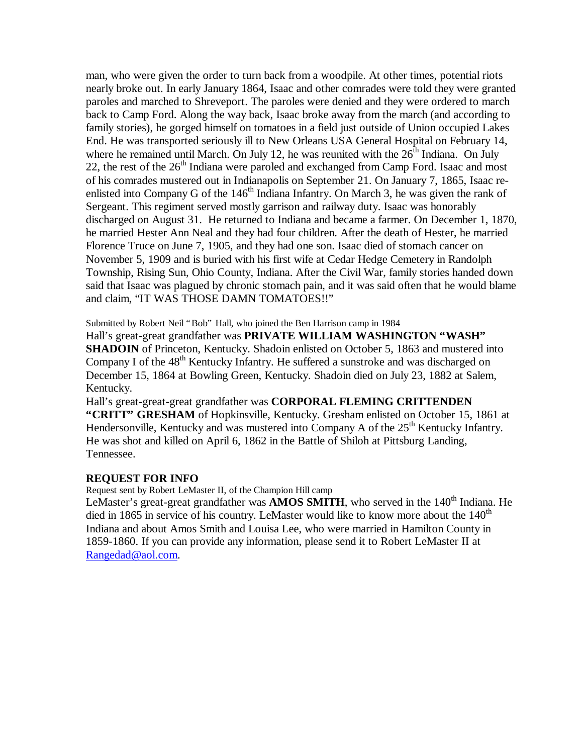man, who were given the order to turn back from a woodpile. At other times, potential riots nearly broke out. In early January 1864, Isaac and other comrades were told they were granted paroles and marched to Shreveport. The paroles were denied and they were ordered to march back to Camp Ford. Along the way back, Isaac broke away from the march (and according to family stories), he gorged himself on tomatoes in a field just outside of Union occupied Lakes End. He was transported seriously ill to New Orleans USA General Hospital on February 14, where he remained until March. On July 12, he was reunited with the  $26<sup>th</sup>$  Indiana. On July 22, the rest of the  $26<sup>th</sup>$  Indiana were paroled and exchanged from Camp Ford. Isaac and most of his comrades mustered out in Indianapolis on September 21. On January 7, 1865, Isaac reenlisted into Company G of the  $146<sup>th</sup>$  Indiana Infantry. On March 3, he was given the rank of Sergeant. This regiment served mostly garrison and railway duty. Isaac was honorably discharged on August 31. He returned to Indiana and became a farmer. On December 1, 1870, he married Hester Ann Neal and they had four children. After the death of Hester, he married Florence Truce on June 7, 1905, and they had one son. Isaac died of stomach cancer on November 5, 1909 and is buried with his first wife at Cedar Hedge Cemetery in Randolph Township, Rising Sun, Ohio County, Indiana. After the Civil War, family stories handed down said that Isaac was plagued by chronic stomach pain, and it was said often that he would blame and claim, "IT WAS THOSE DAMN TOMATOES!!"

Submitted by Robert Neil "Bob" Hall, who joined the Ben Harrison camp in 1984

Hall's great-great grandfather was **PRIVATE WILLIAM WASHINGTON "WASH"** 

**SHADOIN** of Princeton, Kentucky. Shadoin enlisted on October 5, 1863 and mustered into Company I of the  $48<sup>th</sup>$  Kentucky Infantry. He suffered a sunstroke and was discharged on December 15, 1864 at Bowling Green, Kentucky. Shadoin died on July 23, 1882 at Salem, Kentucky.

Hall's great-great-great grandfather was **CORPORAL FLEMING CRITTENDEN "CRITT" GRESHAM** of Hopkinsville, Kentucky. Gresham enlisted on October 15, 1861 at Hendersonville, Kentucky and was mustered into Company A of the 25<sup>th</sup> Kentucky Infantry. He was shot and killed on April 6, 1862 in the Battle of Shiloh at Pittsburg Landing, Tennessee.

#### **REQUEST FOR INFO**

Request sent by Robert LeMaster II, of the Champion Hill camp

LeMaster's great-great grandfather was **AMOS SMITH**, who served in the  $140<sup>th</sup>$  Indiana. He died in 1865 in service of his country. LeMaster would like to know more about the  $140<sup>th</sup>$ Indiana and about Amos Smith and Louisa Lee, who were married in Hamilton County in 1859-1860. If you can provide any information, please send it to Robert LeMaster II at Rangedad@aol.com.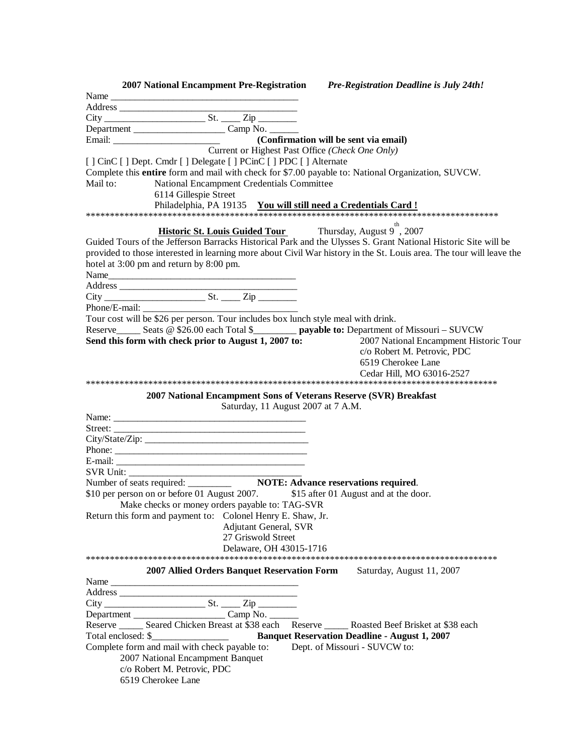| 2007 National Encampment Pre-Registration Pre-Registration Deadline is July 24th!                                    |                                        |
|----------------------------------------------------------------------------------------------------------------------|----------------------------------------|
| Name                                                                                                                 |                                        |
|                                                                                                                      |                                        |
| $\overline{\text{City}}$ $\overline{\text{City}}$ $\overline{\text{City}}$ $\overline{\text{Zip}}$                   |                                        |
|                                                                                                                      |                                        |
|                                                                                                                      |                                        |
| Current or Highest Past Office (Check One Only)                                                                      |                                        |
| [] CinC [] Dept. Cmdr [] Delegate [] PCinC [] PDC [] Alternate                                                       |                                        |
| Complete this entire form and mail with check for \$7.00 payable to: National Organization, SUVCW.                   |                                        |
| Mail to:<br>National Encampment Credentials Committee                                                                |                                        |
| 6114 Gillespie Street                                                                                                |                                        |
|                                                                                                                      |                                        |
|                                                                                                                      |                                        |
| <b>Historic St. Louis Guided Tour</b> Thursday, August 9", 2007                                                      |                                        |
| Guided Tours of the Jefferson Barracks Historical Park and the Ulysses S. Grant National Historic Site will be       |                                        |
| provided to those interested in learning more about Civil War history in the St. Louis area. The tour will leave the |                                        |
| hotel at 3:00 pm and return by 8:00 pm.                                                                              |                                        |
|                                                                                                                      |                                        |
|                                                                                                                      |                                        |
|                                                                                                                      |                                        |
|                                                                                                                      |                                        |
| Phone/E-mail:<br>Tour cost will be \$26 per person. Tour includes box lunch style meal with drink.                   |                                        |
| Reserve______ Seats @ \$26.00 each Total \$_________ payable to: Department of Missouri - SUVCW                      |                                        |
| Send this form with check prior to August 1, 2007 to:                                                                | 2007 National Encampment Historic Tour |
|                                                                                                                      | c/o Robert M. Petrovic, PDC            |
|                                                                                                                      | 6519 Cherokee Lane                     |
|                                                                                                                      | Cedar Hill, MO 63016-2527              |
|                                                                                                                      |                                        |
| 2007 National Encampment Sons of Veterans Reserve (SVR) Breakfast                                                    |                                        |
| Saturday, 11 August 2007 at 7 A.M.                                                                                   |                                        |
|                                                                                                                      |                                        |
|                                                                                                                      |                                        |
|                                                                                                                      |                                        |
|                                                                                                                      |                                        |
|                                                                                                                      |                                        |
|                                                                                                                      |                                        |
|                                                                                                                      |                                        |
| \$10 per person on or before 01 August 2007. \$15 after 01 August and at the door.                                   |                                        |
| Make checks or money orders payable to: TAG-SVR                                                                      |                                        |
| Return this form and payment to: Colonel Henry E. Shaw, Jr.                                                          |                                        |
| <b>Adjutant General, SVR</b><br>27 Griswold Street                                                                   |                                        |
|                                                                                                                      |                                        |
| Delaware, OH 43015-1716                                                                                              |                                        |
|                                                                                                                      |                                        |
| 2007 Allied Orders Banquet Reservation Form                                                                          | Saturday, August 11, 2007              |
| Name                                                                                                                 |                                        |
|                                                                                                                      |                                        |
|                                                                                                                      |                                        |
| Reserve _______ Seared Chicken Breast at \$38 each Reserve ______ Roasted Beef Brisket at \$38 each                  |                                        |
|                                                                                                                      |                                        |
| Complete form and mail with check payable to:                                                                        |                                        |
|                                                                                                                      | Dept. of Missouri - SUVCW to:          |
| 2007 National Encampment Banquet<br>c/o Robert M. Petrovic, PDC                                                      |                                        |
| 6519 Cherokee Lane                                                                                                   |                                        |
|                                                                                                                      |                                        |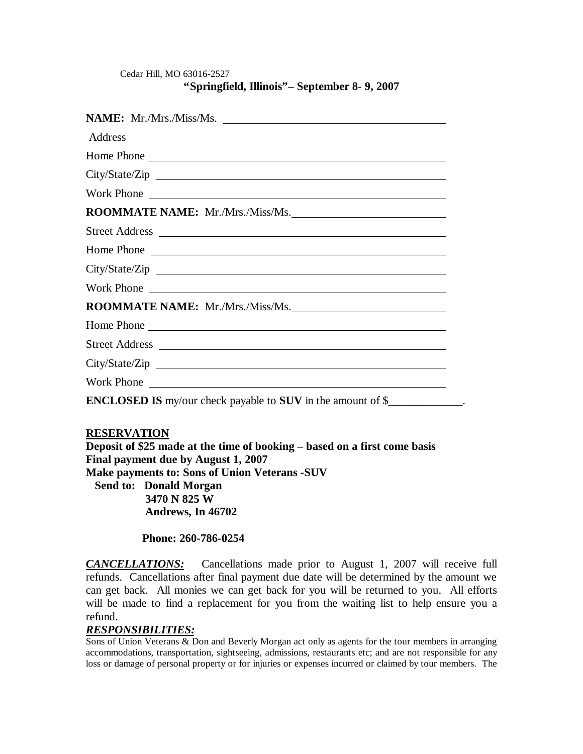#### Cedar Hill, MO 63016-2527 **"Springfield, Illinois"– September 8- 9, 2007**

| NAME: Mr./Mrs./Miss/Ms.                                                                                                                                                                                                        |
|--------------------------------------------------------------------------------------------------------------------------------------------------------------------------------------------------------------------------------|
|                                                                                                                                                                                                                                |
| Home Phone                                                                                                                                                                                                                     |
| City/State/Zip                                                                                                                                                                                                                 |
| Work Phone                                                                                                                                                                                                                     |
| ROOMMATE NAME: Mr./Mrs./Miss/Ms.                                                                                                                                                                                               |
|                                                                                                                                                                                                                                |
| Home Phone                                                                                                                                                                                                                     |
|                                                                                                                                                                                                                                |
|                                                                                                                                                                                                                                |
| ROOMMATE NAME: Mr./Mrs./Miss/Ms.                                                                                                                                                                                               |
|                                                                                                                                                                                                                                |
|                                                                                                                                                                                                                                |
|                                                                                                                                                                                                                                |
| Work Phone 2008 and 2008 and 2008 and 2008 and 2008 and 2008 and 2008 and 2008 and 2008 and 2008 and 2008 and 2008 and 2008 and 2008 and 2008 and 2008 and 2008 and 2008 and 2008 and 2008 and 2008 and 2008 and 2008 and 2008 |
| <b>ENCLOSED IS</b> my/our check payable to <b>SUV</b> in the amount of \$                                                                                                                                                      |

#### **RESERVATION**

**Deposit of \$25 made at the time of booking – based on a first come basis Final payment due by August 1, 2007 Make payments to: Sons of Union Veterans -SUV Send to: Donald Morgan 3470 N 825 W Andrews, In 46702** 

#### **Phone: 260-786-0254**

*CANCELLATIONS:*Cancellations made prior to August 1, 2007 will receive full refunds. Cancellations after final payment due date will be determined by the amount we can get back. All monies we can get back for you will be returned to you. All efforts will be made to find a replacement for you from the waiting list to help ensure you a refund.

#### *RESPONSIBILITIES:*

Sons of Union Veterans & Don and Beverly Morgan act only as agents for the tour members in arranging accommodations, transportation, sightseeing, admissions, restaurants etc; and are not responsible for any loss or damage of personal property or for injuries or expenses incurred or claimed by tour members. The